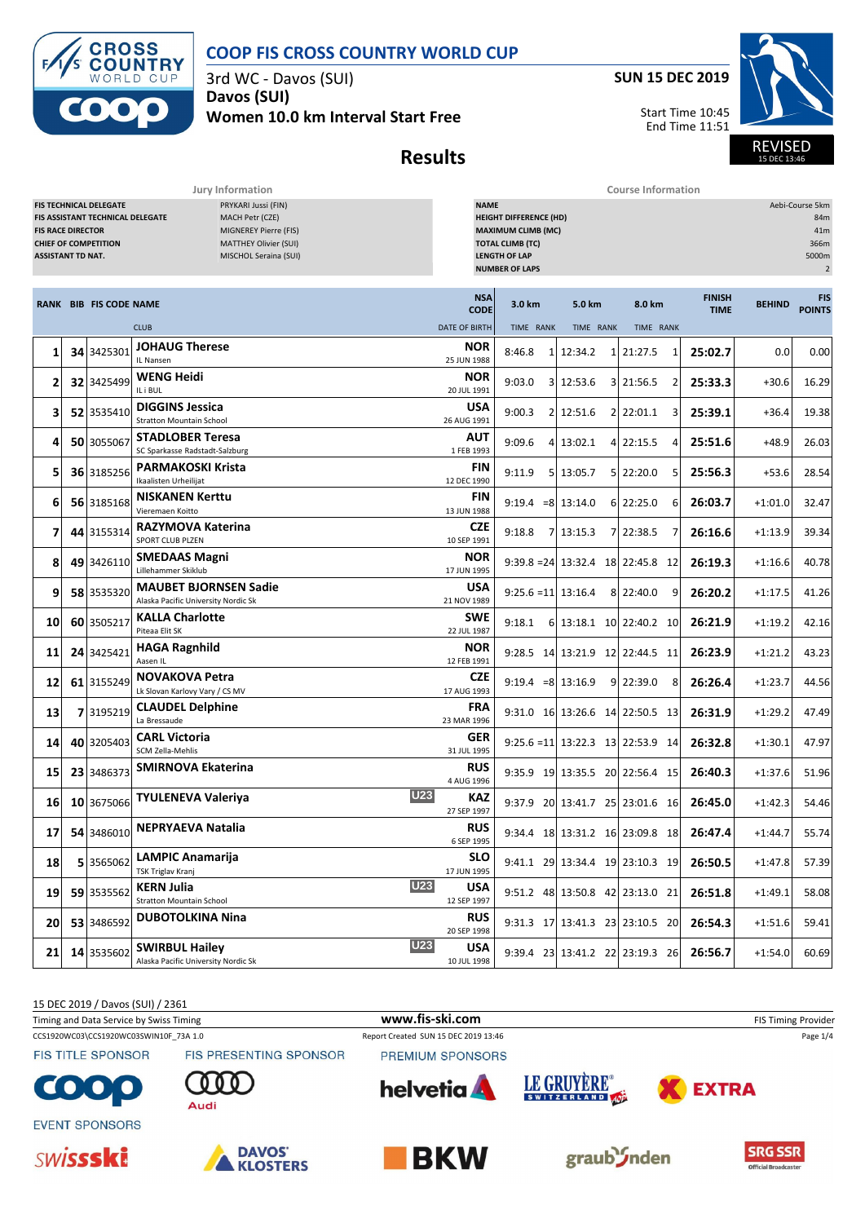

3rd WC - Davos (SUI) **Davos (SUI)**

**Women 10.0 km Interval Start Free**



Start Time 10:45 End Time 11:51



**Results**

**Jury Information Course Information**

|    | FIS TECHNICAL DELEGATE<br>PRYKARI Jussi (FIN)<br>MACH Petr (CZE)<br>FIS ASSISTANT TECHNICAL DELEGATE<br>MIGNEREY Pierre (FIS)<br><b>FIS RACE DIRECTOR</b><br><b>CHIEF OF COMPETITION</b><br><b>MATTHEY Olivier (SUI)</b><br><b>ASSISTANT TD NAT.</b><br>MISCHOL Seraina (SUI) |                               |                                                                            |                             | <b>NAME</b><br><b>HEIGHT DIFFERENCE (HD)</b><br><b>MAXIMUM CLIMB (MC)</b><br><b>TOTAL CLIMB (TC)</b><br><b>LENGTH OF LAP</b><br><b>NUMBER OF LAPS</b> |                                                         |                    |                              |               |                             |  |
|----|-------------------------------------------------------------------------------------------------------------------------------------------------------------------------------------------------------------------------------------------------------------------------------|-------------------------------|----------------------------------------------------------------------------|-----------------------------|-------------------------------------------------------------------------------------------------------------------------------------------------------|---------------------------------------------------------|--------------------|------------------------------|---------------|-----------------------------|--|
|    |                                                                                                                                                                                                                                                                               | <b>RANK BIB FIS CODE NAME</b> |                                                                            | <b>NSA</b><br><b>CODE</b>   | 3.0 km                                                                                                                                                | 5.0 km                                                  | 8.0 km             | <b>FINISH</b><br><b>TIME</b> | <b>BEHIND</b> | <b>FIS</b><br><b>POINTS</b> |  |
|    |                                                                                                                                                                                                                                                                               |                               | <b>CLUB</b><br><b>JOHAUG Therese</b>                                       | <b>DATE OF BIRTH</b><br>NOR | TIME RANK                                                                                                                                             | TIME RANK                                               | TIME RANK          |                              |               |                             |  |
| 1  | 341                                                                                                                                                                                                                                                                           | 3425301                       | IL Nansen                                                                  | 25 JUN 1988                 | 8:46.8<br>$\mathbf{1}$                                                                                                                                | 12:34.2                                                 | 1 21:27.5<br>1     | 25:02.7                      | 0.0           | 0.00                        |  |
| 2  |                                                                                                                                                                                                                                                                               | 32 3425499                    | <b>WENG Heidi</b><br>IL i BUL                                              | NOR<br>20 JUL 1991          | 9:03.0                                                                                                                                                | 3 12:53.6                                               | 3 21:56.5<br>2     | 25:33.3                      | $+30.6$       | 16.29                       |  |
| 3  |                                                                                                                                                                                                                                                                               | 52 3535410                    | <b>DIGGINS Jessica</b><br><b>Stratton Mountain School</b>                  | <b>USA</b><br>26 AUG 1991   | 9:00.3                                                                                                                                                | 2 12:51.6                                               | 2 22:01.1<br>3     | 25:39.1                      | $+36.4$       | 19.38                       |  |
| 4  |                                                                                                                                                                                                                                                                               | 50 3055067                    | <b>STADLOBER Teresa</b><br>SC Sparkasse Radstadt-Salzburg                  | AUT<br>1 FEB 1993           | 9:09.6                                                                                                                                                | 4 13:02.1                                               | 4 22:15.5<br>4     | 25:51.6                      | $+48.9$       | 26.03                       |  |
| 5  |                                                                                                                                                                                                                                                                               | 36 3185256                    | <b>PARMAKOSKI Krista</b><br>Ikaalisten Urheilijat                          | <b>FIN</b><br>12 DEC 1990   | 9:11.9                                                                                                                                                | 5 13:05.7                                               | 5 22:20.0<br>5     | 25:56.3                      | $+53.6$       | 28.54                       |  |
| 6  |                                                                                                                                                                                                                                                                               | 56 3185168                    | <b>NISKANEN Kerttu</b><br>Vieremaen Koitto                                 | <b>FIN</b><br>13 JUN 1988   | $9:19.4 = 8$ 13:14.0                                                                                                                                  |                                                         | $6$   22:25.0<br>6 | 26:03.7                      | $+1:01.0$     | 32.47                       |  |
| 7  |                                                                                                                                                                                                                                                                               | 44 3155314                    | RAZYMOVA Katerina<br>SPORT CLUB PLZEN                                      | CZE<br>10 SEP 1991          | 9:18.8                                                                                                                                                | 7 13:15.3                                               | 7 22:38.5<br>7     | 26:16.6                      | $+1:13.9$     | 39.34                       |  |
| 8  | 49                                                                                                                                                                                                                                                                            | 3426110                       | <b>SMEDAAS Magni</b><br>Lillehammer Skiklub                                | NOR<br>17 JUN 1995          |                                                                                                                                                       | $9:39.8 = 24 \mid 13:32.4 \mid 18 \mid 22:45.8 \mid 12$ |                    | 26:19.3                      | $+1:16.6$     | 40.78                       |  |
| 9  |                                                                                                                                                                                                                                                                               | 58 3535320                    | <b>MAUBET BJORNSEN Sadie</b><br>Alaska Pacific University Nordic Sk        | <b>USA</b><br>21 NOV 1989   | $9:25.6 = 11$ 13:16.4                                                                                                                                 |                                                         | 8 22:40.0<br>9     | 26:20.2                      | $+1:17.5$     | 41.26                       |  |
| 10 |                                                                                                                                                                                                                                                                               | 60 3505217                    | <b>KALLA Charlotte</b><br>Piteaa Elit SK                                   | <b>SWE</b><br>22 JUL 1987   | 9:18.1                                                                                                                                                | 6 13:18.1 10 22:40.2 10                                 |                    | 26:21.9                      | $+1:19.2$     | 42.16                       |  |
| 11 |                                                                                                                                                                                                                                                                               | 24 3425421                    | <b>HAGA Ragnhild</b><br>Aasen IL                                           | NOR<br>12 FEB 1991          |                                                                                                                                                       | 9:28.5 14 13:21.9 12 22:44.5 11                         |                    | 26:23.9                      | $+1:21.2$     | 43.23                       |  |
| 12 |                                                                                                                                                                                                                                                                               | 61 3155249                    | <b>NOVAKOVA Petra</b><br>Lk Slovan Karlovy Vary / CS MV                    | CZE<br>17 AUG 1993          | $9:19.4 = 8 \mid 13:16.9$                                                                                                                             |                                                         | 9 22:39.0<br>8     | 26:26.4                      | $+1:23.7$     | 44.56                       |  |
| 13 | 7                                                                                                                                                                                                                                                                             | 3195219                       | <b>CLAUDEL Delphine</b><br>La Bressaude                                    | FRA<br>23 MAR 1996          |                                                                                                                                                       | 9:31.0 16 13:26.6 14 22:50.5 13                         |                    | 26:31.9                      | $+1:29.2$     | 47.49                       |  |
| 14 |                                                                                                                                                                                                                                                                               | 40 3205403                    | <b>CARL Victoria</b><br>SCM Zella-Mehlis                                   | <b>GER</b><br>31 JUL 1995   |                                                                                                                                                       | $9:25.6 = 11 \mid 13:22.3 \mid 13 \mid 22:53.9 \mid 14$ |                    | 26:32.8                      | $+1:30.1$     | 47.97                       |  |
| 15 | 23                                                                                                                                                                                                                                                                            | 3486373                       | <b>SMIRNOVA Ekaterina</b>                                                  | <b>RUS</b><br>4 AUG 1996    |                                                                                                                                                       | 9:35.9 19 13:35.5 20 22:56.4 15                         |                    | 26:40.3                      | $+1:37.6$     | 51.96                       |  |
| 16 |                                                                                                                                                                                                                                                                               | 10 3675066                    | <b>U23</b><br><b>TYULENEVA Valeriya</b>                                    | KAZ<br>27 SEP 1997          |                                                                                                                                                       | 9:37.9 20 13:41.7 25 23:01.6 16                         |                    | 26:45.0                      | $+1:42.3$     | 54.46                       |  |
| 17 |                                                                                                                                                                                                                                                                               | 54 3486010                    | <b>NEPRYAEVA Natalia</b>                                                   | RUS<br>6 SEP 1995           |                                                                                                                                                       | 9:34.4 18 13:31.2 16 23:09.8 18                         |                    | 26:47.4                      | $+1:44.7$     | 55.74                       |  |
| 18 | 5                                                                                                                                                                                                                                                                             | 3565062                       | <b>LAMPIC Anamarija</b><br>TSK Triglav Kranj                               | <b>SLO</b><br>17 JUN 1995   |                                                                                                                                                       | 9:41.1 29 13:34.4 19 23:10.3 19                         |                    | 26:50.5                      | $+1:47.8$     | 57.39                       |  |
| 19 |                                                                                                                                                                                                                                                                               | 59 3535562                    | <b>U23</b><br><b>KERN Julia</b><br><b>Stratton Mountain School</b>         | <b>USA</b><br>12 SEP 1997   |                                                                                                                                                       | 9:51.2 48 13:50.8 42 23:13.0 21                         |                    | 26:51.8                      | $+1:49.1$     | 58.08                       |  |
| 20 |                                                                                                                                                                                                                                                                               | 53 3486592                    | <b>DUBOTOLKINA Nina</b>                                                    | <b>RUS</b><br>20 SEP 1998   |                                                                                                                                                       | 9:31.3 17 13:41.3 23 23:10.5 20                         |                    | 26:54.3                      | $+1:51.6$     | 59.41                       |  |
| 21 |                                                                                                                                                                                                                                                                               | 14 3535602                    | <b>U23</b><br><b>SWIRBUL Hailey</b><br>Alaska Pacific University Nordic Sk | <b>USA</b><br>10 JUL 1998   |                                                                                                                                                       | 9:39.4 23 13:41.2 22 23:19.3 26                         |                    | 26:56.7                      | $+1:54.0$     | 60.69                       |  |

15 DEC 2019 / Davos (SUI) / 2361

Timing and Data Service by Swiss Timing **www.fis-ski.com www.fis-ski.com** FIS Timing Provider

**FIS TITLE SPONSOR** 

CCS1920WC03\CCS1920WC03SWIN10F\_73A 1.0 Report Created SUN 15 DEC 2019 13:46 Page 1/4 PREMIUM SPONSORS









**EVENT SPONSORS** 





Audi

FIS PRESENTING SPONSOR





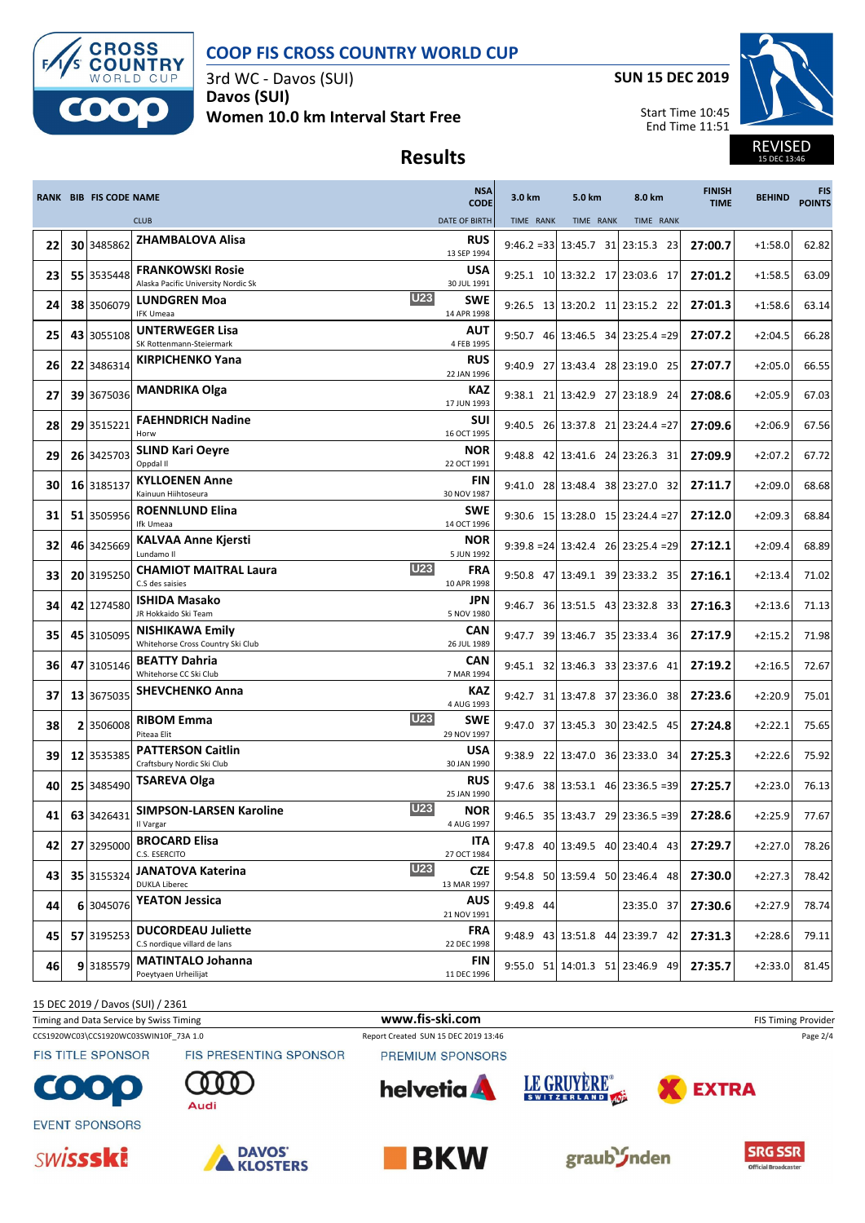

3rd WC - Davos (SUI) **Davos (SUI) Women 10.0 km Interval Start Free** **SUN 15 DEC 2019**

Start Time 10:45 End Time 11:51



15 DEC 13:46

## **Results**

|    |    | <b>RANK BIB FIS CODE NAME</b> |                                                                | <b>NSA</b><br><b>CODE</b>               | 3.0 km              | 5.0 km                                                  | 8.0 km        | <b>FINISH</b><br><b>TIME</b> | <b>BEHIND</b> | <b>FIS</b><br><b>POINTS</b> |
|----|----|-------------------------------|----------------------------------------------------------------|-----------------------------------------|---------------------|---------------------------------------------------------|---------------|------------------------------|---------------|-----------------------------|
|    |    |                               | <b>CLUB</b>                                                    | <b>DATE OF BIRTH</b>                    | TIME RANK           | TIME RANK                                               | TIME RANK     |                              |               |                             |
| 22 |    | 30 3485862                    | <b>ZHAMBALOVA Alisa</b>                                        | <b>RUS</b><br>13 SEP 1994               |                     | $9:46.2 = 33 \mid 13:45.7 \mid 31 \mid 23:15.3 \mid 23$ |               | 27:00.7                      | $+1:58.0$     | 62.82                       |
| 23 |    | 55 3535448                    | <b>FRANKOWSKI Rosie</b><br>Alaska Pacific University Nordic Sk | <b>USA</b><br>30 JUL 1991               |                     | 9:25.1 10 13:32.2 17 23:03.6 17                         |               | 27:01.2                      | $+1:58.5$     | 63.09                       |
| 24 |    | 38 3506079                    | <b>LUNDGREN Moa</b><br><b>IFK Umeaa</b>                        | <b>U23</b><br>SWE<br>14 APR 1998        |                     | 9:26.5 13 13:20.2 11 23:15.2 22                         |               | 27:01.3                      | $+1:58.6$     | 63.14                       |
| 25 |    | 43 3055108                    | <b>UNTERWEGER Lisa</b><br>SK Rottenmann-Steiermark             | <b>AUT</b><br>4 FEB 1995                |                     | $9:50.7$ 46 13:46.5 34 23:25.4 = 29                     |               | 27:07.2                      | $+2:04.5$     | 66.28                       |
| 26 |    | 22 3486314                    | <b>KIRPICHENKO Yana</b>                                        | <b>RUS</b><br>22 JAN 1996               |                     | 9:40.9 27 13:43.4 28 23:19.0 25                         |               | 27:07.7                      | $+2:05.0$     | 66.55                       |
| 27 | 39 | 3675036                       | <b>MANDRIKA Olga</b>                                           | KAZ<br>17 JUN 1993                      |                     | 9:38.1 21 13:42.9 27 23:18.9 24                         |               | 27:08.6                      | $+2:05.9$     | 67.03                       |
| 28 |    | 29 3515221                    | <b>FAEHNDRICH Nadine</b><br>Horw                               | SUI<br>16 OCT 1995                      |                     | $9:40.5$ 26 13:37.8 21 23:24.4 = 27                     |               | 27:09.6                      | $+2:06.9$     | 67.56                       |
| 29 |    | 26 3425703                    | <b>SLIND Kari Oeyre</b><br>Oppdal II                           | NOR<br>22 OCT 1991                      | $9:48.8$ 42 13:41.6 |                                                         | 24 23:26.3 31 | 27:09.9                      | $+2:07.2$     | 67.72                       |
| 30 |    | 16 3185137                    | <b>KYLLOENEN Anne</b><br>Kainuun Hiihtoseura                   | <b>FIN</b><br>30 NOV 1987               |                     | 9:41.0 28 13:48.4 38 23:27.0 32                         |               | 27:11.7                      | $+2:09.0$     | 68.68                       |
| 31 | 51 | 3505956                       | <b>ROENNLUND Elina</b><br>Ifk Umeaa                            | <b>SWE</b><br>14 OCT 1996               |                     | $9:30.6$ 15 13:28.0 15 23:24.4 = 27                     |               | 27:12.0                      | $+2:09.3$     | 68.84                       |
| 32 |    | 46 3425669                    | <b>KALVAA Anne Kjersti</b><br>Lundamo II                       | <b>NOR</b><br>5 JUN 1992                |                     | $9:39.8 = 24 \mid 13:42.4$ 26 23:25.4 = 29              |               | 27:12.1                      | $+2:09.4$     | 68.89                       |
| 33 |    | 20 3195250                    | <b>CHAMIOT MAITRAL Laura</b><br>C.S des saisies                | <b>U23</b><br><b>FRA</b><br>10 APR 1998 |                     | 9:50.8 47 13:49.1 39 23:33.2 35                         |               | 27:16.1                      | $+2:13.4$     | 71.02                       |
| 34 |    | 42 1274580                    | <b>ISHIDA Masako</b><br>JR Hokkaido Ski Team                   | <b>JPN</b><br>5 NOV 1980                |                     | 9:46.7 36 13:51.5 43 23:32.8 33                         |               | 27:16.3                      | $+2:13.6$     | 71.13                       |
| 35 |    | 45 3105095                    | <b>NISHIKAWA Emily</b><br>Whitehorse Cross Country Ski Club    | CAN<br>26 JUL 1989                      |                     | 9:47.7 39 13:46.7 35 23:33.4 36                         |               | 27:17.9                      | $+2:15.2$     | 71.98                       |
| 36 | 47 | 3105146                       | <b>BEATTY Dahria</b><br>Whitehorse CC Ski Club                 | CAN<br>7 MAR 1994                       |                     | 9:45.1 32 13:46.3 33 23:37.6 41                         |               | 27:19.2                      | $+2:16.5$     | 72.67                       |
| 37 |    | 13 3675035                    | <b>SHEVCHENKO Anna</b>                                         | KAZ<br>4 AUG 1993                       |                     | 9:42.7 31 13:47.8 37 23:36.0 38                         |               | 27:23.6                      | $+2:20.9$     | 75.01                       |
| 38 | 2  | 3506008                       | <b>RIBOM Emma</b><br>Piteaa Elit                               | <b>U23</b><br><b>SWE</b><br>29 NOV 1997 |                     | 9:47.0 37 13:45.3 30 23:42.5 45                         |               | 27:24.8                      | $+2:22.1$     | 75.65                       |
| 39 |    | 12 3535385                    | <b>PATTERSON Caitlin</b><br>Craftsbury Nordic Ski Club         | <b>USA</b><br>30 JAN 1990               | $9:38.9$ 22 13:47.0 |                                                         | 36 23:33.0 34 | 27:25.3                      | $+2:22.6$     | 75.92                       |
| 40 |    | 25 3485490                    | <b>TSAREVA Olga</b>                                            | <b>RUS</b><br>25 JAN 1990               |                     | $9:47.6$ 38 13:53.1 46 23:36.5 = 39                     |               | 27:25.7                      | $+2:23.0$     | 76.13                       |
| 41 |    | 63 3426431                    | <b>SIMPSON-LARSEN Karoline</b><br>Il Vargar                    | <b>U23</b><br><b>NOR</b><br>4 AUG 1997  |                     | $9:46.5$ 35 13:43.7 29 23:36.5 = 39                     |               | 27:28.6                      | $+2:25.9$     | 77.67                       |
| 42 |    | 27 3295000                    | <b>BROCARD Elisa</b><br>C.S. ESERCITO                          | ITA<br>27 OCT 1984                      |                     | 9:47.8 40 13:49.5 40 23:40.4 43                         |               | 27:29.7                      | $+2:27.0$     | 78.26                       |
| 43 |    | 35 3155324                    | <b>JANATOVA Katerina</b><br><b>DUKLA Liberec</b>               | <b>U23</b><br><b>CZE</b><br>13 MAR 1997 |                     | 9:54.8 50 13:59.4 50 23:46.4 48                         |               | 27:30.0                      | $+2:27.3$     | 78.42                       |
| 44 |    | 6 3045076                     | <b>YEATON Jessica</b>                                          | <b>AUS</b><br>21 NOV 1991               | 9:49.8 44           |                                                         | 23:35.0 37    | 27:30.6                      | $+2:27.9$     | 78.74                       |
| 45 |    | 57 3195253                    | <b>DUCORDEAU Juliette</b><br>C.S nordique villard de lans      | FRA<br>22 DEC 1998                      |                     | 9:48.9 43 13:51.8 44 23:39.7 42                         |               | 27:31.3                      | $+2:28.6$     | 79.11                       |
| 46 |    | 9 3185579                     | <b>MATINTALO Johanna</b><br>Poeytyaen Urheilijat               | <b>FIN</b><br>11 DEC 1996               |                     | 9:55.0 51 14:01.3 51 23:46.9 49                         |               | 27:35.7                      | $+2:33.0$     | 81.45                       |

15 DEC 2019 / Davos (SUI) / 2361

Timing and Data Service by Swiss Timing **www.fis-ski.com www.fis-ski.com** FIS Timing Provider

CCS1920WC03\CCS1920WC03SWIN10F\_73A 1.0 Report Created SUN 15 DEC 2019 13:46 Page 2/4

**FIS TITLE SPONSOR** 

FIS PRESENTING SPONSOR

Audi

PREMIUM SPONSORS









 $\bullet$ 







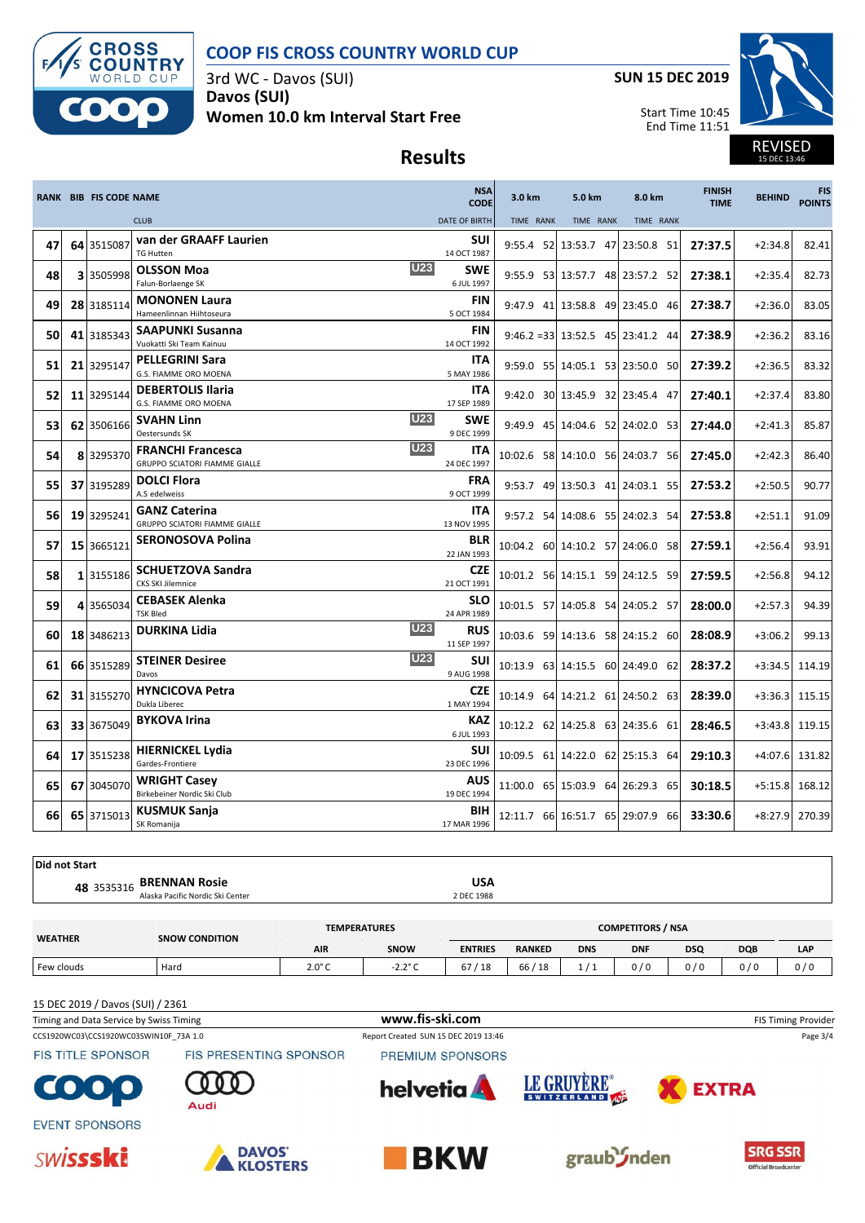

3rd WC - Davos (SUI) **Davos (SUI) Women 10.0 km Interval Start Free** **SUN 15 DEC 2019**

Start Time 10:45 End Time 11:51



REVISED 15 DEC 13:46

# **Results**

|    | <b>RANK BIB FIS CODE NAME</b> |                                                                                | <b>NSA</b><br><b>CODE</b> | 3.0 km    | 5.0 km               | 8.0 km                                   | <b>FINISH</b><br><b>TIME</b> | <b>BEHIND</b> | <b>FIS</b><br><b>POINTS</b> |
|----|-------------------------------|--------------------------------------------------------------------------------|---------------------------|-----------|----------------------|------------------------------------------|------------------------------|---------------|-----------------------------|
|    |                               | <b>CLUB</b>                                                                    | <b>DATE OF BIRTH</b>      | TIME RANK | TIME RANK            | TIME RANK                                |                              |               |                             |
| 47 | 64 3515087                    | van der GRAAFF Laurien<br><b>TG Hutten</b>                                     | SUI<br>14 OCT 1987        |           | 9:55.4 52 13:53.7 47 | 23:50.8 51                               | 27:37.5                      | $+2:34.8$     | 82.41                       |
| 48 | 3 3505998                     | <b>U23</b><br><b>OLSSON Moa</b><br>Falun-Borlaenge SK                          | <b>SWE</b><br>6 JUL 1997  |           |                      | 9:55.9 53 13:57.7 48 23:57.2 52          | 27:38.1                      | $+2:35.4$     | 82.73                       |
| 49 | 28 3185114                    | <b>MONONEN Laura</b><br>Hameenlinnan Hiihtoseura                               | FIN<br>5 OCT 1984         |           |                      | 9:47.9 41 13:58.8 49 23:45.0 46          | 27:38.7                      | $+2:36.0$     | 83.05                       |
| 50 | 41 3185343                    | <b>SAAPUNKI Susanna</b><br>Vuokatti Ski Team Kainuu                            | <b>FIN</b><br>14 OCT 1992 |           |                      | $9:46.2 = 33 \mid 13:52.5$ 45 23:41.2 44 | 27:38.9                      | $+2:36.2$     | 83.16                       |
| 51 | 21 3295147                    | <b>PELLEGRINI Sara</b><br>G.S. FIAMME ORO MOENA                                | ITA<br>5 MAY 1986         |           |                      | 9:59.0 55 14:05.1 53 23:50.0 50          | 27:39.2                      | $+2:36.5$     | 83.32                       |
| 52 | 11 3295144                    | <b>DEBERTOLIS Ilaria</b><br>G.S. FIAMME ORO MOENA                              | ITA<br>17 SEP 1989        |           |                      | 9:42.0 30 13:45.9 32 23:45.4 47          | 27:40.1                      | $+2:37.4$     | 83.80                       |
| 53 | 62 3506166                    | <b>U23</b><br><b>SVAHN Linn</b><br>Oestersunds SK                              | <b>SWE</b><br>9 DEC 1999  |           |                      | 9:49.9 45 14:04.6 52 24:02.0 53          | 27:44.0                      | $+2:41.3$     | 85.87                       |
| 54 | 8 3295370                     | <b>U23</b><br><b>FRANCHI Francesca</b><br><b>GRUPPO SCIATORI FIAMME GIALLE</b> | ITA<br>24 DEC 1997        |           |                      | 10:02.6 58 14:10.0 56 24:03.7 56         | 27:45.0                      | $+2:42.3$     | 86.40                       |
| 55 | 37 3195289                    | <b>DOLCI Flora</b><br>A.S edelweiss                                            | <b>FRA</b><br>9 OCT 1999  |           |                      | 9:53.7 49 13:50.3 41 24:03.1 55          | 27:53.2                      | $+2:50.5$     | 90.77                       |
| 56 | 19 3295241                    | <b>GANZ Caterina</b><br><b>GRUPPO SCIATORI FIAMME GIALLE</b>                   | ITA<br>13 NOV 1995        |           |                      | 9:57.2 54 14:08.6 55 24:02.3 54          | 27:53.8                      | $+2:51.1$     | 91.09                       |
| 57 | 15 3665121                    | <b>SERONOSOVA Polina</b>                                                       | <b>BLR</b><br>22 JAN 1993 |           |                      | 10:04.2 60 14:10.2 57 24:06.0 58         | 27:59.1                      | $+2:56.4$     | 93.91                       |
| 58 | 1 3155186                     | <b>SCHUETZOVA Sandra</b><br>CKS SKI Jilemnice                                  | <b>CZE</b><br>21 OCT 1991 |           |                      | 10:01.2 56 14:15.1 59 24:12.5 59         | 27:59.5                      | $+2:56.8$     | 94.12                       |
| 59 | 4 3565034                     | <b>CEBASEK Alenka</b><br><b>TSK Bled</b>                                       | <b>SLO</b><br>24 APR 1989 |           |                      | 10:01.5 57 14:05.8 54 24:05.2 57         | 28:00.0                      | $+2:57.3$     | 94.39                       |
| 60 | 18 3486213                    | <b>U23</b><br><b>DURKINA Lidia</b>                                             | <b>RUS</b><br>11 SEP 1997 |           |                      | 10:03.6 59 14:13.6 58 24:15.2 60         | 28:08.9                      | $+3:06.2$     | 99.13                       |
| 61 | 66 3515289                    | <b>U23</b><br><b>STEINER Desiree</b><br>Davos                                  | SUI<br>9 AUG 1998         |           |                      | 10:13.9 63 14:15.5 60 24:49.0 62         | 28:37.2                      | $+3:34.5$     | 114.19                      |
| 62 | 31 3155270                    | <b>HYNCICOVA Petra</b><br>Dukla Liberec                                        | <b>CZE</b><br>1 MAY 1994  |           |                      | 10:14.9 64 14:21.2 61 24:50.2 63         | 28:39.0                      | $+3:36.3$     | 115.15                      |
| 63 | 33 3675049                    | <b>BYKOVA Irina</b>                                                            | <b>KAZ</b><br>6 JUL 1993  |           |                      | 10:12.2 62 14:25.8 63 24:35.6 61         | 28:46.5                      | $+3:43.8$     | 119.15                      |
| 64 | 17 3515238                    | <b>HIERNICKEL Lydia</b><br>Gardes-Frontiere                                    | SUI<br>23 DEC 1996        |           |                      | 10:09.5 61 14:22.0 62 25:15.3 64         | 29:10.3                      | $+4:07.6$     | 131.82                      |
| 65 | 67 3045070                    | <b>WRIGHT Casey</b><br>Birkebeiner Nordic Ski Club                             | AUS<br>19 DEC 1994        |           |                      | 11:00.0 65 15:03.9 64 26:29.3 65         | 30:18.5                      | $+5:15.8$     | 168.12                      |
| 66 | 65 3715013                    | <b>KUSMUK Sanja</b><br>SK Romanija                                             | BIH<br>17 MAR 1996        |           |                      | 12:11.7 66 16:51.7 65 29:07.9 66         | 33:30.6                      |               | +8:27.9 270.39              |

| Did not Start |                                  |            |  |
|---------------|----------------------------------|------------|--|
|               | 48 3535316 BRENNAN Rosie         | USA        |  |
|               | Alaska Pacific Nordic Ski Center | 2 DEC 1988 |  |

| <b>WEATHER</b> | <b>SNOW CONDITION</b> | <b>TEMPERATURES</b> | <b>COMPETITORS / NSA</b> |                |               |            |            |            |            |     |
|----------------|-----------------------|---------------------|--------------------------|----------------|---------------|------------|------------|------------|------------|-----|
|                |                       | <b>AIR</b>          | SNOW                     | <b>ENTRIES</b> | <b>RANKED</b> | <b>DNS</b> | <b>DNF</b> | <b>DSQ</b> | <b>DQB</b> | LAP |
| Few clouds     | Hard                  | $2.0^\circ C$       | $-2.2^{\circ}$ C         | 67<br>' 18     | 66/18         |            | 0/6        | 0/0        | 0/0        | 0/0 |
|                |                       |                     |                          |                |               |            |            |            |            |     |

15 DEC 2019 / Davos (SUI) / 2361

CCS1920WC03\CCS1920WC03SWIN10F\_73A 1.0 Report Created SUN 15 DEC 2019 13:46 Page 3/4 Timing and Data Service by Swiss Timing **WWW.fis-Ski.com WWW.fis-Ski.com** FIS Timing Provider

**FIS TITLE SPONSOR** 

 $\bullet$  $\bullet$ 







FIS PRESENTING SPONSOR



PREMIUM SPONSORS

**helvetia** 



LE GRUYÈRE®



**EXTRA**